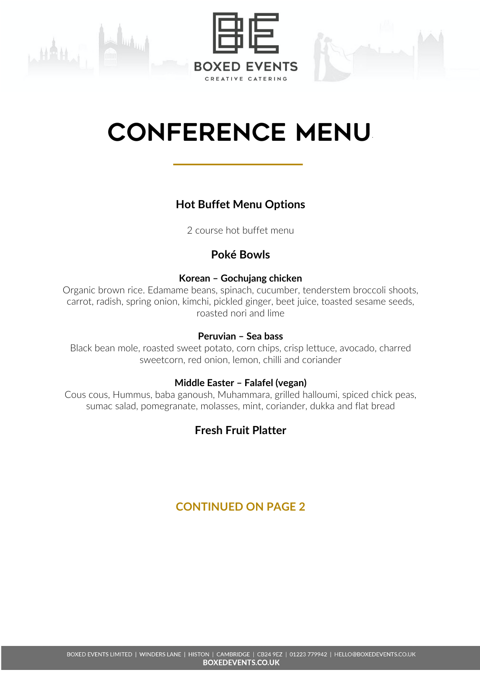



# CONFERENCE menu.

# **Hot Buffet Menu Options**

2 course hot buffet menu

# **Poké Bowls**

## **Korean – Gochujang chicken**

Organic brown rice. Edamame beans, spinach, cucumber, tenderstem broccoli shoots, carrot, radish, spring onion, kimchi, pickled ginger, beet juice, toasted sesame seeds, roasted nori and lime

#### **Peruvian – Sea bass**

Black bean mole, roasted sweet potato, corn chips, crisp lettuce, avocado, charred sweetcorn, red onion, lemon, chilli and coriander

## **Middle Easter – Falafel (vegan)**

Cous cous, Hummus, baba ganoush, Muhammara, grilled halloumi, spiced chick peas, sumac salad, pomegranate, molasses, mint, coriander, dukka and flat bread

# **Fresh Fruit Platter**

# **CONTINUED ON PAGE 2**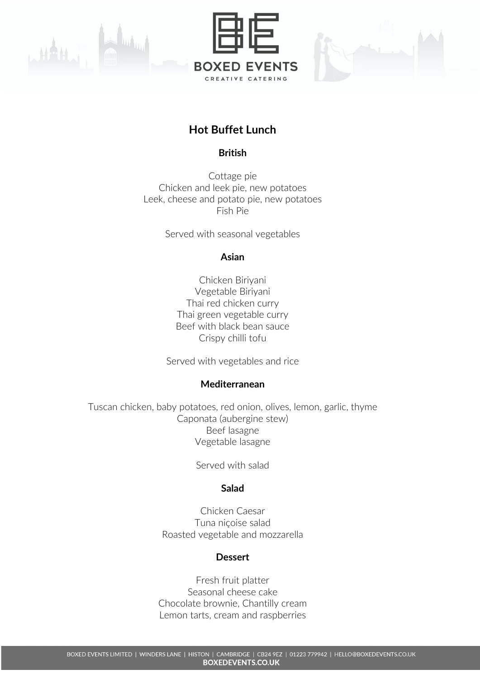





# **Hot Buffet Lunch**

#### **British**

Cottage pie Chicken and leek pie, new potatoes Leek, cheese and potato pie, new potatoes Fish Pie

Served with seasonal vegetables

#### **Asian**

Chicken Biriyani Vegetable Biriyani Thai red chicken curry Thai green vegetable curry Beef with black bean sauce Crispy chilli tofu

Served with vegetables and rice

#### **Mediterranean**

Tuscan chicken, baby potatoes, red onion, olives, lemon, garlic, thyme Caponata (aubergine stew) Beef lasagne Vegetable lasagne

Served with salad

#### **Salad**

Chicken Caesar Tuna niçoise salad Roasted vegetable and mozzarella

## **Dessert**

Fresh fruit platter Seasonal cheese cake Chocolate brownie, Chantilly cream Lemon tarts, cream and raspberries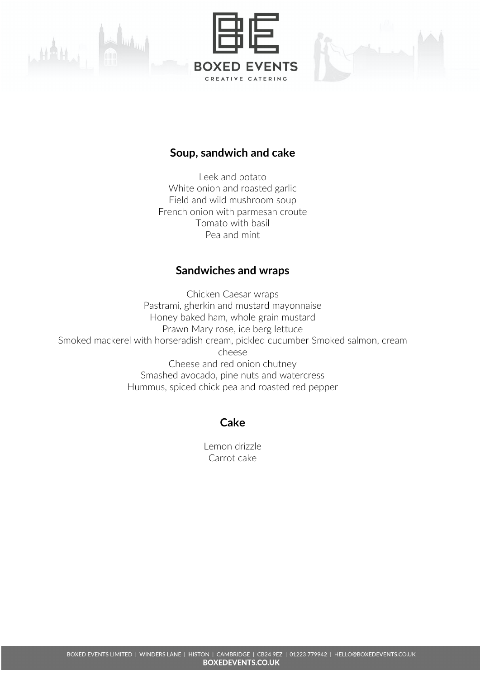





## **Soup, sandwich and cake**

Leek and potato White onion and roasted garlic Field and wild mushroom soup French onion with parmesan croute Tomato with basil Pea and mint

## **Sandwiches and wraps**

Chicken Caesar wraps Pastrami, gherkin and mustard mayonnaise Honey baked ham, whole grain mustard Prawn Mary rose, ice berg lettuce Smoked mackerel with horseradish cream, pickled cucumber Smoked salmon, cream cheese Cheese and red onion chutney Smashed avocado, pine nuts and watercress Hummus, spiced chick pea and roasted red pepper

# **Cake**

Lemon drizzle Carrot cake